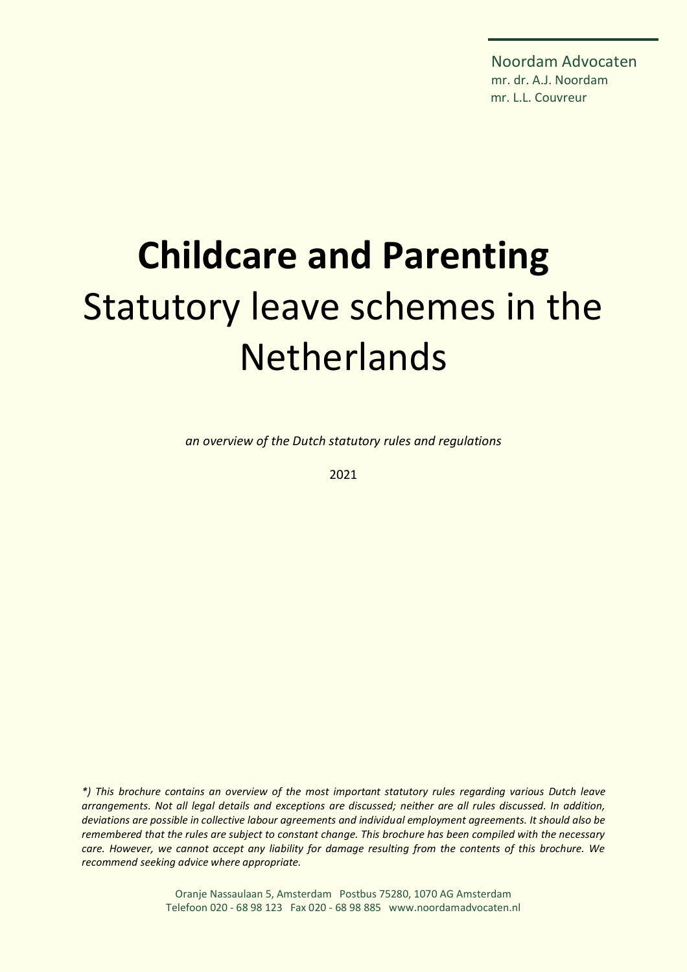Noordam Advocaten mr. dr. A.J. Noordam mr. L.L. Couvreur

# **Childcare and Parenting** Statutory leave schemes in the **Netherlands**

*an overview of the Dutch statutory rules and regulations*

2021

*\*) This brochure contains an overview of the most important statutory rules regarding various Dutch leave arrangements. Not all legal details and exceptions are discussed; neither are all rules discussed. In addition, deviations are possible in collective labour agreements and individual employment agreements. It should also be remembered that the rules are subject to constant change. This brochure has been compiled with the necessary care. However, we cannot accept any liability for damage resulting from the contents of this brochure. We recommend seeking advice where appropriate.*

> Oranje Nassaulaan 5, Amsterdam Postbus 75280, 1070 AG Amsterdam Telefoon 020 - 68 98 123 Fax 020 - 68 98 885 www.noordamadvocaten.nl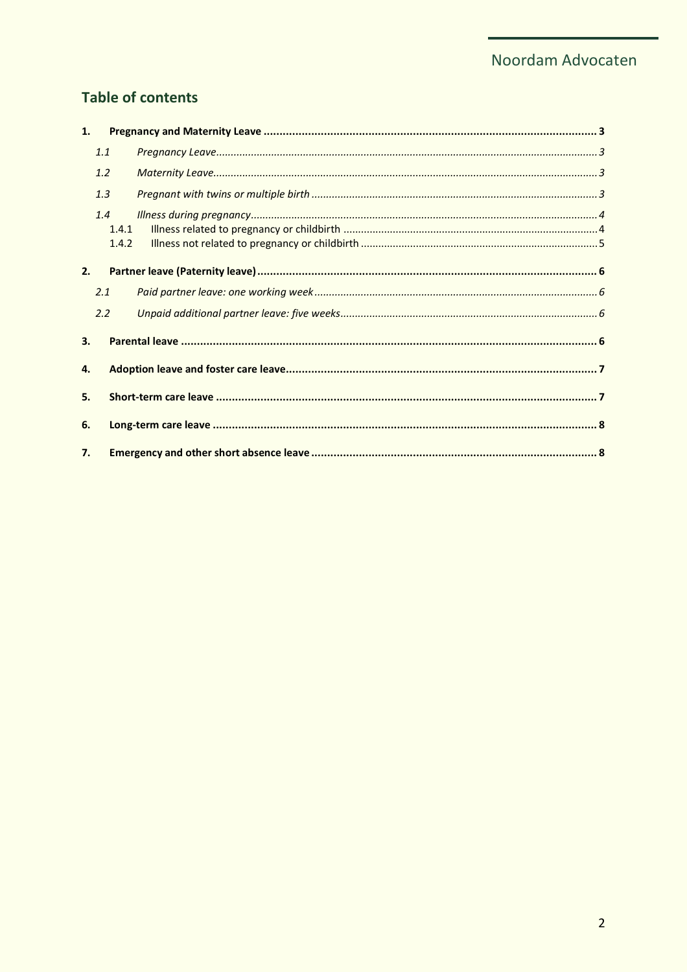## **Table of contents**

| 1. |                |  |  |
|----|----------------|--|--|
|    | 1.1            |  |  |
|    | 1.2            |  |  |
|    | 1.3            |  |  |
|    | 1.4            |  |  |
|    | 1.4.1<br>1.4.2 |  |  |
| 2. |                |  |  |
|    | 2.1            |  |  |
|    | 2.2            |  |  |
| 3. |                |  |  |
| 4. |                |  |  |
| 5. |                |  |  |
| 6. |                |  |  |
| 7. |                |  |  |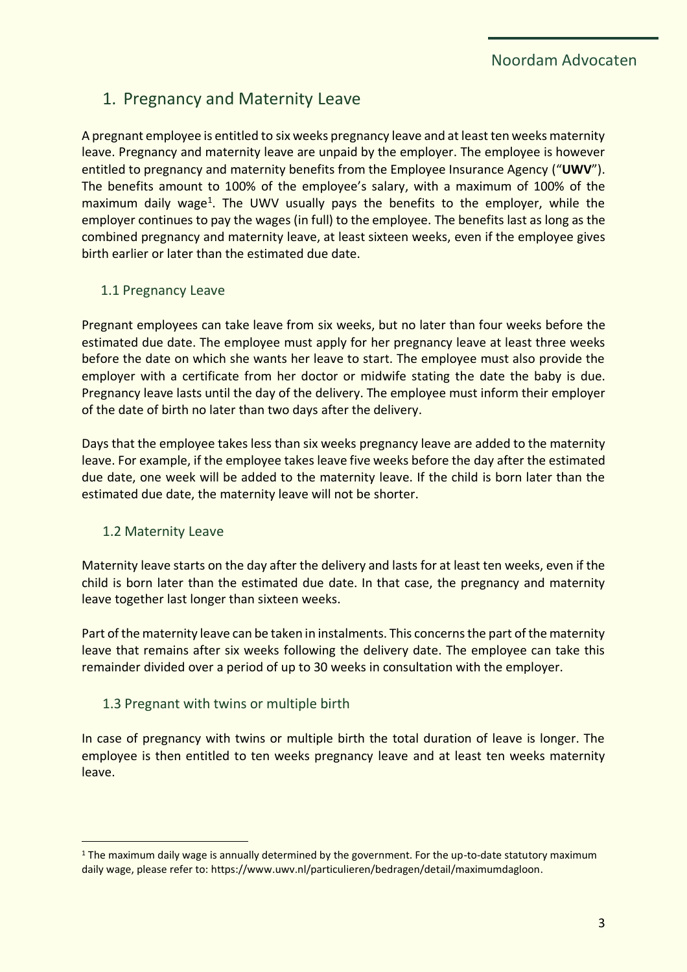# <span id="page-2-0"></span>1. Pregnancy and Maternity Leave

A pregnant employee is entitled to six weeks pregnancy leave and at least ten weeks maternity leave. Pregnancy and maternity leave are unpaid by the employer. The employee is however entitled to pregnancy and maternity benefits from the Employee Insurance Agency ("**UWV**"). The benefits amount to 100% of the employee's salary, with a maximum of 100% of the maximum daily wage<sup>1</sup>. The UWV usually pays the benefits to the employer, while the employer continues to pay the wages (in full) to the employee. The benefits last as long as the combined pregnancy and maternity leave, at least sixteen weeks, even if the employee gives birth earlier or later than the estimated due date.

#### <span id="page-2-1"></span>1.1 Pregnancy Leave

Pregnant employees can take leave from six weeks, but no later than four weeks before the estimated due date. The employee must apply for her pregnancy leave at least three weeks before the date on which she wants her leave to start. The employee must also provide the employer with a certificate from her doctor or midwife stating the date the baby is due. Pregnancy leave lasts until the day of the delivery. The employee must inform their employer of the date of birth no later than two days after the delivery.

Days that the employee takes less than six weeks pregnancy leave are added to the maternity leave. For example, if the employee takes leave five weeks before the day after the estimated due date, one week will be added to the maternity leave. If the child is born later than the estimated due date, the maternity leave will not be shorter.

#### <span id="page-2-2"></span>1.2 Maternity Leave

Maternity leave starts on the day after the delivery and lasts for at least ten weeks, even if the child is born later than the estimated due date. In that case, the pregnancy and maternity leave together last longer than sixteen weeks.

Part of the maternity leave can be taken in instalments. This concerns the part of the maternity leave that remains after six weeks following the delivery date. The employee can take this remainder divided over a period of up to 30 weeks in consultation with the employer.

## <span id="page-2-3"></span>1.3 Pregnant with twins or multiple birth

In case of pregnancy with twins or multiple birth the total duration of leave is longer. The employee is then entitled to ten weeks pregnancy leave and at least ten weeks maternity leave.

<sup>&</sup>lt;sup>1</sup> The maximum daily wage is annually determined by the government. For the up-to-date statutory maximum daily wage, please refer to: [https://www.uwv.nl/particulieren/bedragen/detail/maximumdagloon.](https://www.uwv.nl/particulieren/bedragen/detail/maximumdagloon)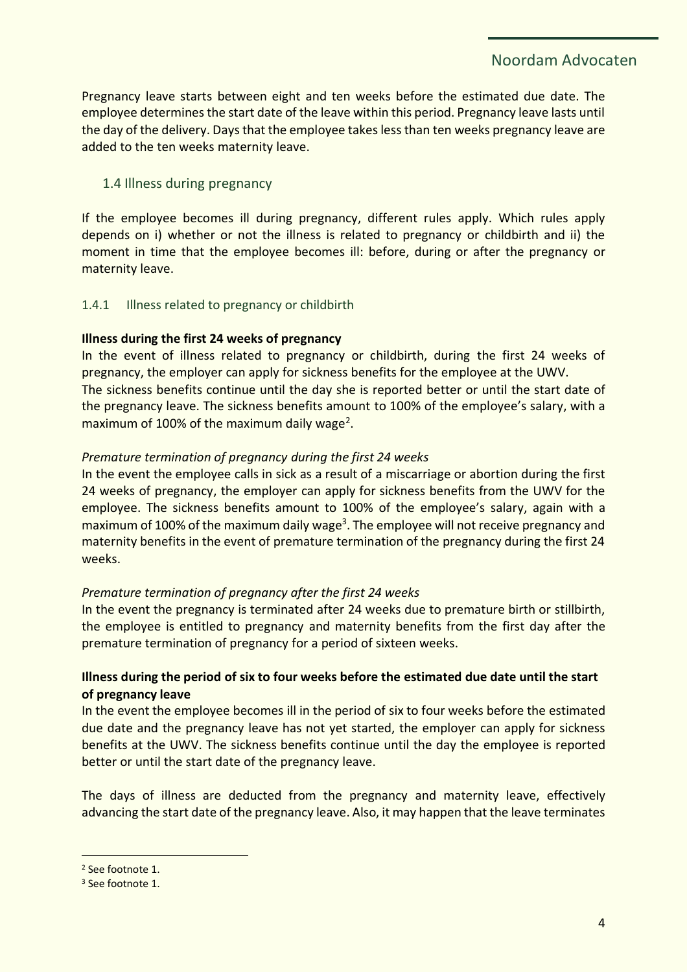Pregnancy leave starts between eight and ten weeks before the estimated due date. The employee determines the start date of the leave within this period. Pregnancy leave lasts until the day of the delivery. Days that the employee takes less than ten weeks pregnancy leave are added to the ten weeks maternity leave.

## <span id="page-3-0"></span>1.4 Illness during pregnancy

If the employee becomes ill during pregnancy, different rules apply. Which rules apply depends on i) whether or not the illness is related to pregnancy or childbirth and ii) the moment in time that the employee becomes ill: before, during or after the pregnancy or maternity leave.

#### <span id="page-3-1"></span>1.4.1 Illness related to pregnancy or childbirth

#### **Illness during the first 24 weeks of pregnancy**

In the event of illness related to pregnancy or childbirth, during the first 24 weeks of pregnancy, the employer can apply for sickness benefits for the employee at the UWV. The sickness benefits continue until the day she is reported better or until the start date of the pregnancy leave. The sickness benefits amount to 100% of the employee's salary, with a maximum of 100% of the maximum daily wage<sup>2</sup>.

#### *Premature termination of pregnancy during the first 24 weeks*

In the event the employee calls in sick as a result of a miscarriage or abortion during the first 24 weeks of pregnancy, the employer can apply for sickness benefits from the UWV for the employee. The sickness benefits amount to 100% of the employee's salary, again with a maximum of 100% of the maximum daily wage<sup>3</sup>. The employee will not receive pregnancy and maternity benefits in the event of premature termination of the pregnancy during the first 24 weeks.

#### *Premature termination of pregnancy after the first 24 weeks*

In the event the pregnancy is terminated after 24 weeks due to premature birth or stillbirth, the employee is entitled to pregnancy and maternity benefits from the first day after the premature termination of pregnancy for a period of sixteen weeks.

### **Illness during the period of six to four weeks before the estimated due date until the start of pregnancy leave**

In the event the employee becomes ill in the period of six to four weeks before the estimated due date and the pregnancy leave has not yet started, the employer can apply for sickness benefits at the UWV. The sickness benefits continue until the day the employee is reported better or until the start date of the pregnancy leave.

The days of illness are deducted from the pregnancy and maternity leave, effectively advancing the start date of the pregnancy leave. Also, it may happen that the leave terminates

<sup>2</sup> See footnote 1.

<sup>&</sup>lt;sup>3</sup> See footnote 1.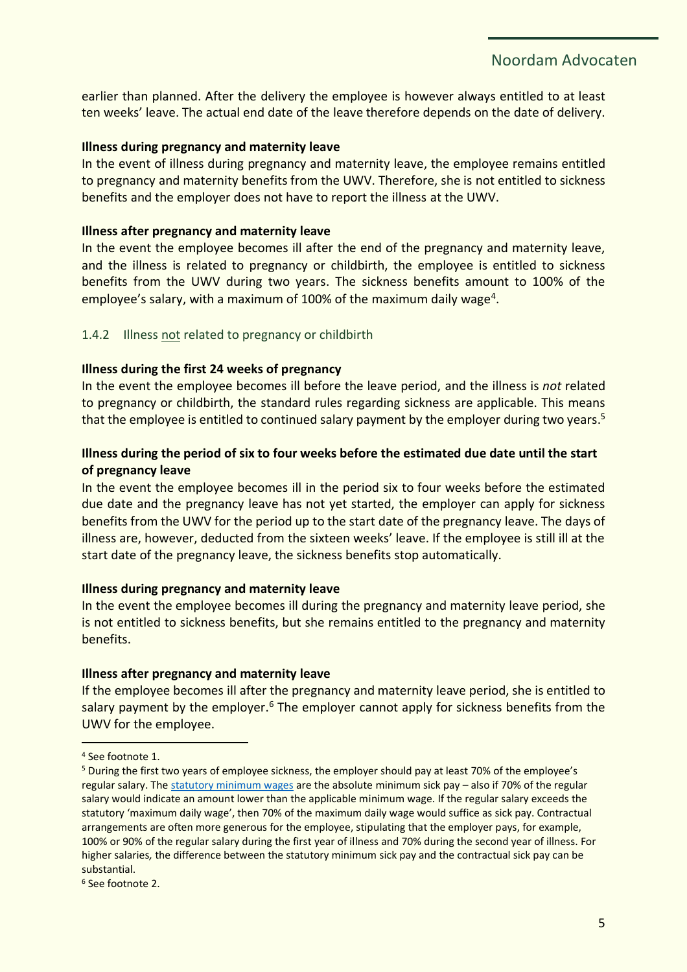earlier than planned. After the delivery the employee is however always entitled to at least ten weeks' leave. The actual end date of the leave therefore depends on the date of delivery.

#### **Illness during pregnancy and maternity leave**

In the event of illness during pregnancy and maternity leave, the employee remains entitled to pregnancy and maternity benefits from the UWV. Therefore, she is not entitled to sickness benefits and the employer does not have to report the illness at the UWV.

#### **Illness after pregnancy and maternity leave**

In the event the employee becomes ill after the end of the pregnancy and maternity leave, and the illness is related to pregnancy or childbirth, the employee is entitled to sickness benefits from the UWV during two years. The sickness benefits amount to 100% of the employee's salary, with a maximum of 100% of the maximum daily wage<sup>4</sup>.

#### <span id="page-4-0"></span>1.4.2 Illness not related to pregnancy or childbirth

#### **Illness during the first 24 weeks of pregnancy**

In the event the employee becomes ill before the leave period, and the illness is *not* related to pregnancy or childbirth, the standard rules regarding sickness are applicable. This means that the employee is entitled to continued salary payment by the employer during two years.<sup>5</sup>

#### **Illness during the period of six to four weeks before the estimated due date until the start of pregnancy leave**

In the event the employee becomes ill in the period six to four weeks before the estimated due date and the pregnancy leave has not yet started, the employer can apply for sickness benefits from the UWV for the period up to the start date of the pregnancy leave. The days of illness are, however, deducted from the sixteen weeks' leave. If the employee is still ill at the start date of the pregnancy leave, the sickness benefits stop automatically.

#### **Illness during pregnancy and maternity leave**

In the event the employee becomes ill during the pregnancy and maternity leave period, she is not entitled to sickness benefits, but she remains entitled to the pregnancy and maternity benefits.

#### **Illness after pregnancy and maternity leave**

If the employee becomes ill after the pregnancy and maternity leave period, she is entitled to salary payment by the employer. $6$  The employer cannot apply for sickness benefits from the UWV for the employee.

<sup>4</sup> See footnote 1.

<sup>5</sup> During the first two years of employee sickness, the employer should pay at least 70% of the employee's regular salary. The [statutory minimum wages](https://www.rijksoverheid.nl/onderwerpen/minimumloon/bedragen-minimumloon) are the absolute minimum sick pay – also if 70% of the regular salary would indicate an amount lower than the applicable minimum wage. If the regular salary exceeds the statutory 'maximum daily wage', then 70% of the maximum daily wage would suffice as sick pay. Contractual arrangements are often more generous for the employee, stipulating that the employer pays, for example, 100% or 90% of the regular salary during the first year of illness and 70% during the second year of illness. For higher salaries*,* the difference between the statutory minimum sick pay and the contractual sick pay can be substantial.

<sup>6</sup> See footnote 2.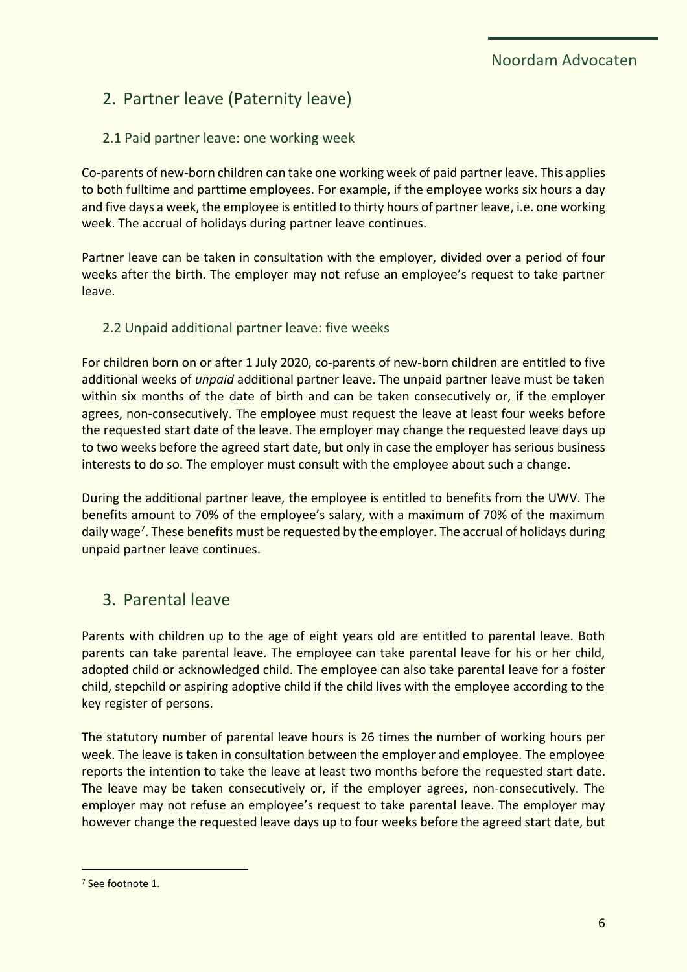# <span id="page-5-0"></span>2. Partner leave (Paternity leave)

## <span id="page-5-1"></span>2.1 Paid partner leave: one working week

Co-parents of new-born children can take one working week of paid partner leave. This applies to both fulltime and parttime employees. For example, if the employee works six hours a day and five days a week, the employee is entitled to thirty hours of partner leave, i.e. one working week. The accrual of holidays during partner leave continues.

Partner leave can be taken in consultation with the employer, divided over a period of four weeks after the birth. The employer may not refuse an employee's request to take partner leave.

## <span id="page-5-2"></span>2.2 Unpaid additional partner leave: five weeks

For children born on or after 1 July 2020, co-parents of new-born children are entitled to five additional weeks of *unpaid* additional partner leave. The unpaid partner leave must be taken within six months of the date of birth and can be taken consecutively or, if the employer agrees, non-consecutively. The employee must request the leave at least four weeks before the requested start date of the leave. The employer may change the requested leave days up to two weeks before the agreed start date, but only in case the employer has serious business interests to do so. The employer must consult with the employee about such a change.

During the additional partner leave, the employee is entitled to benefits from the UWV. The benefits amount to 70% of the employee's salary, with a maximum of 70% of the maximum daily wage<sup>7</sup>. These benefits must be requested by the employer. The accrual of holidays during unpaid partner leave continues.

## <span id="page-5-3"></span>3. Parental leave

Parents with children up to the age of eight years old are entitled to parental leave. Both parents can take parental leave. The employee can take parental leave for his or her child, adopted child or acknowledged child. The employee can also take parental leave for a foster child, stepchild or aspiring adoptive child if the child lives with the employee according to the key register of persons.

The statutory number of parental leave hours is 26 times the number of working hours per week. The leave is taken in consultation between the employer and employee. The employee reports the intention to take the leave at least two months before the requested start date. The leave may be taken consecutively or, if the employer agrees, non-consecutively. The employer may not refuse an employee's request to take parental leave. The employer may however change the requested leave days up to four weeks before the agreed start date, but

<sup>7</sup> See footnote 1.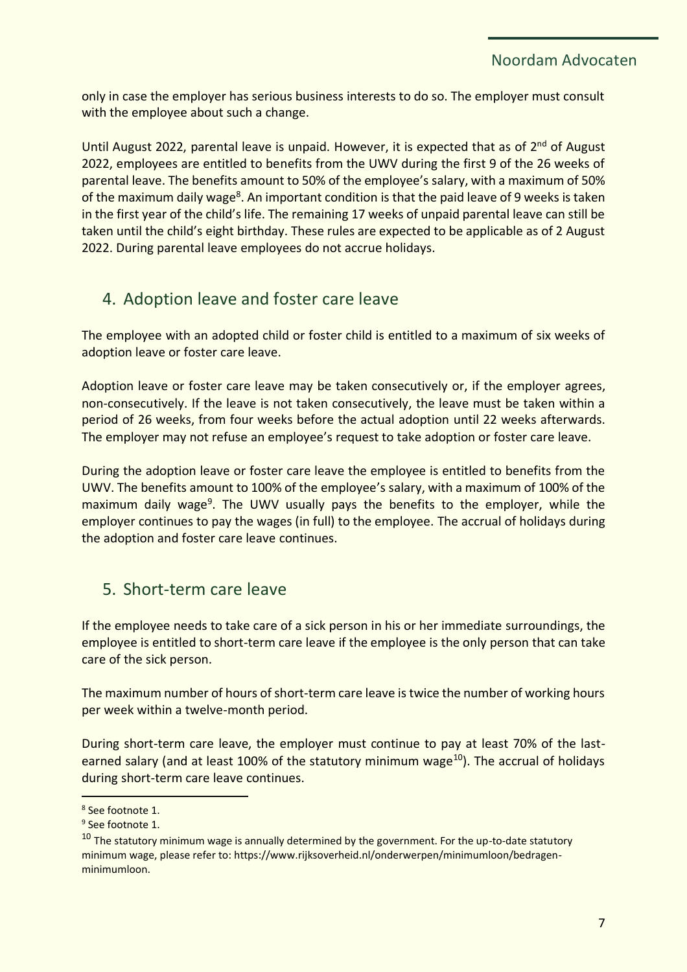only in case the employer has serious business interests to do so. The employer must consult with the employee about such a change.

Until August 2022, parental leave is unpaid. However, it is expected that as of 2<sup>nd</sup> of August 2022, employees are entitled to benefits from the UWV during the first 9 of the 26 weeks of parental leave. The benefits amount to 50% of the employee's salary, with a maximum of 50% of the maximum daily wage<sup>8</sup>. An important condition is that the paid leave of 9 weeks is taken in the first year of the child's life. The remaining 17 weeks of unpaid parental leave can still be taken until the child's eight birthday. These rules are expected to be applicable as of 2 August 2022. During parental leave employees do not accrue holidays.

# <span id="page-6-0"></span>4. Adoption leave and foster care leave

The employee with an adopted child or foster child is entitled to a maximum of six weeks of adoption leave or foster care leave.

Adoption leave or foster care leave may be taken consecutively or, if the employer agrees, non-consecutively. If the leave is not taken consecutively, the leave must be taken within a period of 26 weeks, from four weeks before the actual adoption until 22 weeks afterwards. The employer may not refuse an employee's request to take adoption or foster care leave.

During the adoption leave or foster care leave the employee is entitled to benefits from the UWV. The benefits amount to 100% of the employee's salary, with a maximum of 100% of the maximum daily wage<sup>9</sup>. The UWV usually pays the benefits to the employer, while the employer continues to pay the wages (in full) to the employee. The accrual of holidays during the adoption and foster care leave continues.

## <span id="page-6-1"></span>5. Short-term care leave

If the employee needs to take care of a sick person in his or her immediate surroundings, the employee is entitled to short-term care leave if the employee is the only person that can take care of the sick person.

The maximum number of hours of short-term care leave is twice the number of working hours per week within a twelve-month period.

During short-term care leave, the employer must continue to pay at least 70% of the lastearned salary (and at least 100% of the statutory minimum wage<sup>10</sup>). The accrual of holidays during short-term care leave continues.

<sup>8</sup> See footnote 1.

<sup>&</sup>lt;sup>9</sup> See footnote 1.

<sup>&</sup>lt;sup>10</sup> The statutory minimum wage is annually determined by the government. For the up-to-date statutory minimum wage, please refer to: https://www.rijksoverheid.nl/onderwerpen/minimumloon/bedragenminimumloon.